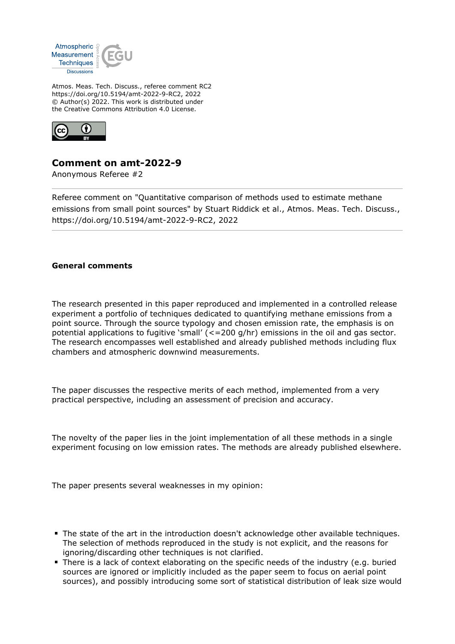

Atmos. Meas. Tech. Discuss., referee comment RC2 https://doi.org/10.5194/amt-2022-9-RC2, 2022 © Author(s) 2022. This work is distributed under the Creative Commons Attribution 4.0 License.



## **Comment on amt-2022-9**

Anonymous Referee #2

Referee comment on "Quantitative comparison of methods used to estimate methane emissions from small point sources" by Stuart Riddick et al., Atmos. Meas. Tech. Discuss., https://doi.org/10.5194/amt-2022-9-RC2, 2022

## **General comments**

The research presented in this paper reproduced and implemented in a controlled release experiment a portfolio of techniques dedicated to quantifying methane emissions from a point source. Through the source typology and chosen emission rate, the emphasis is on potential applications to fugitive 'small' (<=200 g/hr) emissions in the oil and gas sector. The research encompasses well established and already published methods including flux chambers and atmospheric downwind measurements.

The paper discusses the respective merits of each method, implemented from a very practical perspective, including an assessment of precision and accuracy.

The novelty of the paper lies in the joint implementation of all these methods in a single experiment focusing on low emission rates. The methods are already published elsewhere.

The paper presents several weaknesses in my opinion:

- The state of the art in the introduction doesn't acknowledge other available techniques. The selection of methods reproduced in the study is not explicit, and the reasons for ignoring/discarding other techniques is not clarified.
- There is a lack of context elaborating on the specific needs of the industry (e.g. buried sources are ignored or implicitly included as the paper seem to focus on aerial point sources), and possibly introducing some sort of statistical distribution of leak size would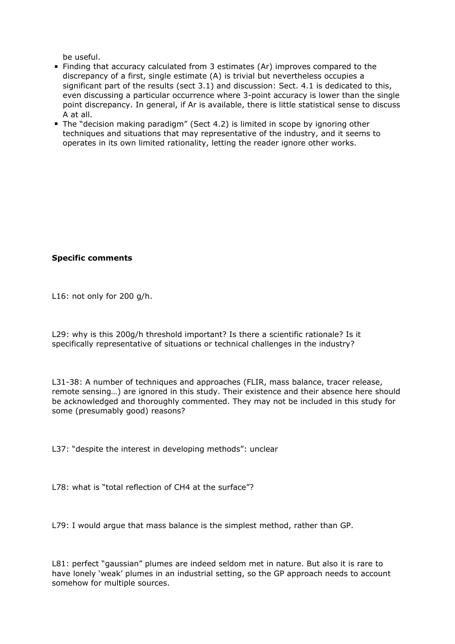be useful.

- Finding that accuracy calculated from 3 estimates (Ar) improves compared to the discrepancy of a first, single estimate (A) is trivial but nevertheless occupies a significant part of the results (sect 3.1) and discussion: Sect. 4.1 is dedicated to this, even discussing a particular occurrence where 3-point accuracy is lower than the single point discrepancy. In general, if Ar is available, there is little statistical sense to discuss A at all.
- The "decision making paradigm" (Sect 4.2) is limited in scope by ignoring other techniques and situations that may representative of the industry, and it seems to operates in its own limited rationality, letting the reader ignore other works.

## **Specific comments**

L16: not only for 200 g/h.

L29: why is this 200g/h threshold important? Is there a scientific rationale? Is it specifically representative of situations or technical challenges in the industry?

L31-38: A number of techniques and approaches (FLIR, mass balance, tracer release, remote sensing…) are ignored in this study. Their existence and their absence here should be acknowledged and thoroughly commented. They may not be included in this study for some (presumably good) reasons?

L37: "despite the interest in developing methods": unclear

L78: what is "total reflection of CH4 at the surface"?

L79: I would argue that mass balance is the simplest method, rather than GP.

L81: perfect "gaussian" plumes are indeed seldom met in nature. But also it is rare to have lonely 'weak' plumes in an industrial setting, so the GP approach needs to account somehow for multiple sources.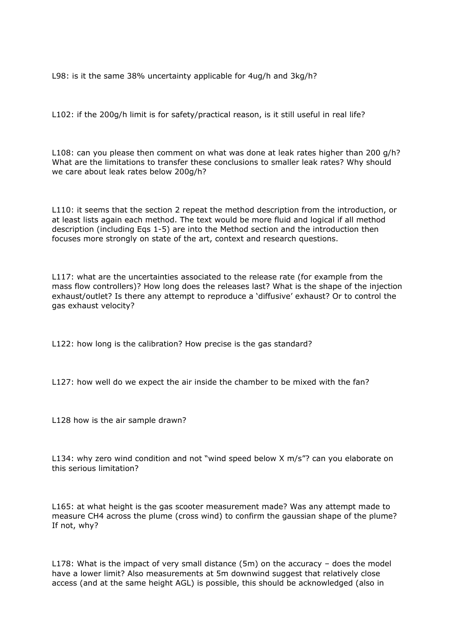L98: is it the same 38% uncertainty applicable for 4ug/h and 3kg/h?

L102: if the 200g/h limit is for safety/practical reason, is it still useful in real life?

L108: can you please then comment on what was done at leak rates higher than 200 g/h? What are the limitations to transfer these conclusions to smaller leak rates? Why should we care about leak rates below 200g/h?

L110: it seems that the section 2 repeat the method description from the introduction, or at least lists again each method. The text would be more fluid and logical if all method description (including Eqs 1-5) are into the Method section and the introduction then focuses more strongly on state of the art, context and research questions.

L117: what are the uncertainties associated to the release rate (for example from the mass flow controllers)? How long does the releases last? What is the shape of the injection exhaust/outlet? Is there any attempt to reproduce a 'diffusive' exhaust? Or to control the gas exhaust velocity?

L122: how long is the calibration? How precise is the gas standard?

L127: how well do we expect the air inside the chamber to be mixed with the fan?

L128 how is the air sample drawn?

L134: why zero wind condition and not "wind speed below X m/s"? can you elaborate on this serious limitation?

L165: at what height is the gas scooter measurement made? Was any attempt made to measure CH4 across the plume (cross wind) to confirm the gaussian shape of the plume? If not, why?

L178: What is the impact of very small distance (5m) on the accuracy – does the model have a lower limit? Also measurements at 5m downwind suggest that relatively close access (and at the same height AGL) is possible, this should be acknowledged (also in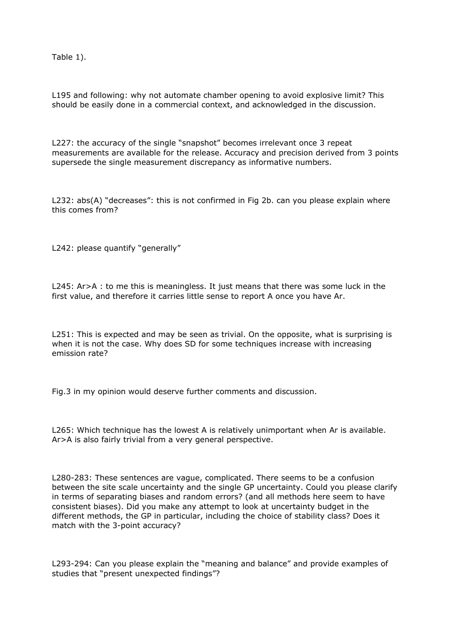Table 1).

L195 and following: why not automate chamber opening to avoid explosive limit? This should be easily done in a commercial context, and acknowledged in the discussion.

L227: the accuracy of the single "snapshot" becomes irrelevant once 3 repeat measurements are available for the release. Accuracy and precision derived from 3 points supersede the single measurement discrepancy as informative numbers.

L232: abs(A) "decreases": this is not confirmed in Fig 2b. can you please explain where this comes from?

L242: please quantify "generally"

L245: Ar>A : to me this is meaningless. It just means that there was some luck in the first value, and therefore it carries little sense to report A once you have Ar.

L251: This is expected and may be seen as trivial. On the opposite, what is surprising is when it is not the case. Why does SD for some techniques increase with increasing emission rate?

Fig.3 in my opinion would deserve further comments and discussion.

L265: Which technique has the lowest A is relatively unimportant when Ar is available. Ar>A is also fairly trivial from a very general perspective.

L280-283: These sentences are vague, complicated. There seems to be a confusion between the site scale uncertainty and the single GP uncertainty. Could you please clarify in terms of separating biases and random errors? (and all methods here seem to have consistent biases). Did you make any attempt to look at uncertainty budget in the different methods, the GP in particular, including the choice of stability class? Does it match with the 3-point accuracy?

L293-294: Can you please explain the "meaning and balance" and provide examples of studies that "present unexpected findings"?